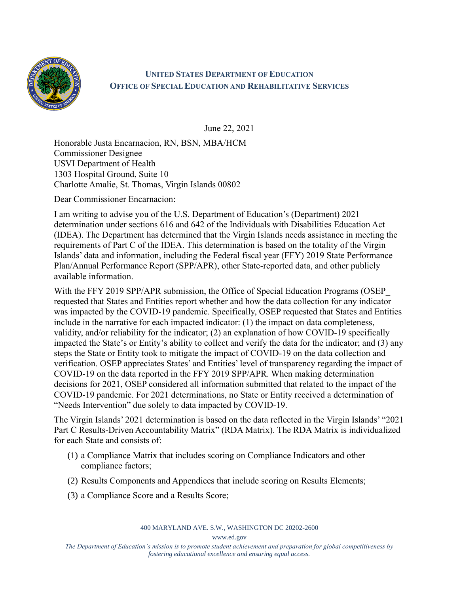

## **UNITED STATES DEPARTMENT OF EDUCATION OFFICE OF SPECIAL EDUCATION AND REHABILITATIVE SERVICES**

June 22, 2021

Honorable Justa Encarnacion, RN, BSN, MBA/HCM Commissioner Designee USVI Department of Health 1303 Hospital Ground, Suite 10 Charlotte Amalie, St. Thomas, Virgin Islands 00802

Dear Commissioner Encarnacion:

I am writing to advise you of the U.S. Department of Education's (Department) 2021 determination under sections 616 and 642 of the Individuals with Disabilities Education Act (IDEA). The Department has determined that the Virgin Islands needs assistance in meeting the requirements of Part C of the IDEA. This determination is based on the totality of the Virgin Islands' data and information, including the Federal fiscal year (FFY) 2019 State Performance Plan/Annual Performance Report (SPP/APR), other State-reported data, and other publicly available information.

With the FFY 2019 SPP/APR submission, the Office of Special Education Programs (OSEP requested that States and Entities report whether and how the data collection for any indicator was impacted by the COVID-19 pandemic. Specifically, OSEP requested that States and Entities include in the narrative for each impacted indicator: (1) the impact on data completeness, validity, and/or reliability for the indicator; (2) an explanation of how COVID-19 specifically impacted the State's or Entity's ability to collect and verify the data for the indicator; and (3) any steps the State or Entity took to mitigate the impact of COVID-19 on the data collection and verification. OSEP appreciates States' and Entities' level of transparency regarding the impact of COVID-19 on the data reported in the FFY 2019 SPP/APR. When making determination decisions for 2021, OSEP considered all information submitted that related to the impact of the COVID-19 pandemic. For 2021 determinations, no State or Entity received a determination of "Needs Intervention" due solely to data impacted by COVID-19.

The Virgin Islands' 2021 determination is based on the data reflected in the Virgin Islands' "2021 Part C Results-Driven Accountability Matrix" (RDA Matrix). The RDA Matrix is individualized for each State and consists of:

- (1) a Compliance Matrix that includes scoring on Compliance Indicators and other compliance factors;
- (2) Results Components and Appendices that include scoring on Results Elements;
- (3) a Compliance Score and a Results Score;

400 MARYLAND AVE. S.W., WASHINGTON DC 20202-2600

www.ed.gov

*The Department of Education's mission is to promote student achievement and preparation for global competitiveness by fostering educational excellence and ensuring equal access.*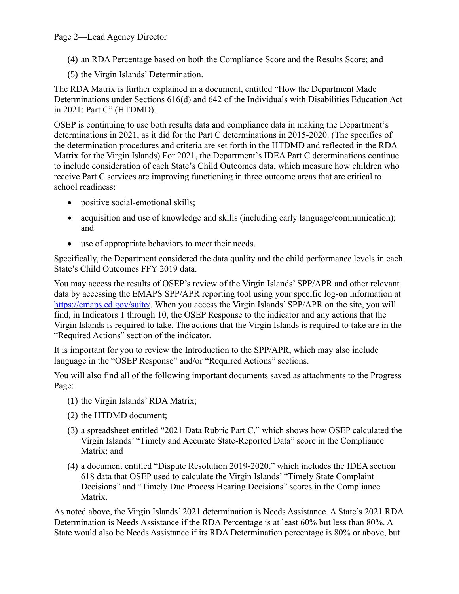## Page 2—Lead Agency Director

(4) an RDA Percentage based on both the Compliance Score and the Results Score; and

(5) the Virgin Islands' Determination.

The RDA Matrix is further explained in a document, entitled "How the Department Made Determinations under Sections 616(d) and 642 of the Individuals with Disabilities Education Act in 2021: Part C" (HTDMD).

OSEP is continuing to use both results data and compliance data in making the Department's determinations in 2021, as it did for the Part C determinations in 2015-2020. (The specifics of the determination procedures and criteria are set forth in the HTDMD and reflected in the RDA Matrix for the Virgin Islands) For 2021, the Department's IDEA Part C determinations continue to include consideration of each State's Child Outcomes data, which measure how children who receive Part C services are improving functioning in three outcome areas that are critical to school readiness:

- positive social-emotional skills;
- acquisition and use of knowledge and skills (including early language/communication); and
- use of appropriate behaviors to meet their needs.

Specifically, the Department considered the data quality and the child performance levels in each State's Child Outcomes FFY 2019 data.

You may access the results of OSEP's review of the Virgin Islands' SPP/APR and other relevant data by accessing the EMAPS SPP/APR reporting tool using your specific log-on information at [https://emaps.ed.gov/suite/.](https://emaps.ed.gov/suite/) When you access the Virgin Islands' SPP/APR on the site, you will find, in Indicators 1 through 10, the OSEP Response to the indicator and any actions that the Virgin Islands is required to take. The actions that the Virgin Islands is required to take are in the "Required Actions" section of the indicator.

It is important for you to review the Introduction to the SPP/APR, which may also include language in the "OSEP Response" and/or "Required Actions" sections.

You will also find all of the following important documents saved as attachments to the Progress Page:

- (1) the Virgin Islands' RDA Matrix;
- (2) the HTDMD document;
- (3) a spreadsheet entitled "2021 Data Rubric Part C," which shows how OSEP calculated the Virgin Islands' "Timely and Accurate State-Reported Data" score in the Compliance Matrix; and
- (4) a document entitled "Dispute Resolution 2019-2020," which includes the IDEA section 618 data that OSEP used to calculate the Virgin Islands' "Timely State Complaint Decisions" and "Timely Due Process Hearing Decisions" scores in the Compliance Matrix.

As noted above, the Virgin Islands' 2021 determination is Needs Assistance. A State's 2021 RDA Determination is Needs Assistance if the RDA Percentage is at least 60% but less than 80%. A State would also be Needs Assistance if its RDA Determination percentage is 80% or above, but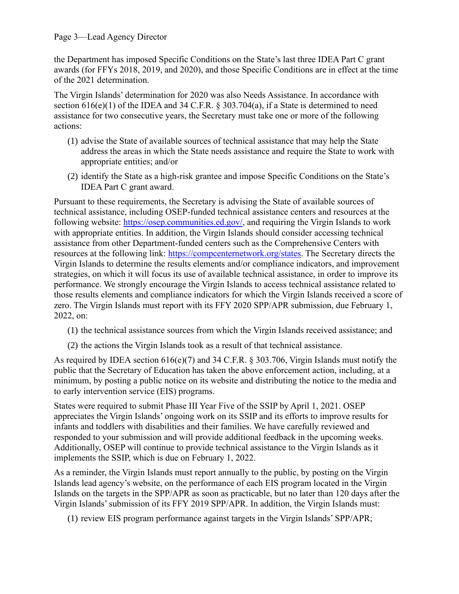## Page 3—Lead Agency Director

the Department has imposed Specific Conditions on the State's last three IDEA Part C grant awards (for FFYs 2018, 2019, and 2020), and those Specific Conditions are in effect at the time of the 2021 determination.

The Virgin Islands' determination for 2020 was also Needs Assistance. In accordance with section  $616(e)(1)$  of the IDEA and 34 C.F.R. § 303.704(a), if a State is determined to need assistance for two consecutive years, the Secretary must take one or more of the following actions:

- (1) advise the State of available sources of technical assistance that may help the State address the areas in which the State needs assistance and require the State to work with appropriate entities; and/or
- (2) identify the State as a high-risk grantee and impose Specific Conditions on the State's IDEA Part C grant award.

Pursuant to these requirements, the Secretary is advising the State of available sources of technical assistance, including OSEP-funded technical assistance centers and resources at the following website: [https://osep.communities.ed.gov/,](https://osep.communities.ed.gov/) and requiring the Virgin Islands to work with appropriate entities. In addition, the Virgin Islands should consider accessing technical assistance from other Department-funded centers such as the Comprehensive Centers with resources at the following link: [https://compcenternetwork.org/states.](https://compcenternetwork.org/states) The Secretary directs the Virgin Islands to determine the results elements and/or compliance indicators, and improvement strategies, on which it will focus its use of available technical assistance, in order to improve its performance. We strongly encourage the Virgin Islands to access technical assistance related to those results elements and compliance indicators for which the Virgin Islands received a score of zero. The Virgin Islands must report with its FFY 2020 SPP/APR submission, due February 1, 2022, on:

- (1) the technical assistance sources from which the Virgin Islands received assistance; and
- (2) the actions the Virgin Islands took as a result of that technical assistance.

As required by IDEA section  $616(e)(7)$  and  $34$  C.F.R. § 303.706, Virgin Islands must notify the public that the Secretary of Education has taken the above enforcement action, including, at a minimum, by posting a public notice on its website and distributing the notice to the media and to early intervention service (EIS) programs.

States were required to submit Phase III Year Five of the SSIP by April 1, 2021. OSEP appreciates the Virgin Islands' ongoing work on its SSIP and its efforts to improve results for infants and toddlers with disabilities and their families. We have carefully reviewed and responded to your submission and will provide additional feedback in the upcoming weeks. Additionally, OSEP will continue to provide technical assistance to the Virgin Islands as it implements the SSIP, which is due on February 1, 2022.

As a reminder, the Virgin Islands must report annually to the public, by posting on the Virgin Islands lead agency's website, on the performance of each EIS program located in the Virgin Islands on the targets in the SPP/APR as soon as practicable, but no later than 120 days after the Virgin Islands'submission of its FFY 2019 SPP/APR. In addition, the Virgin Islands must:

(1) review EIS program performance against targets in the Virgin Islands' SPP/APR;